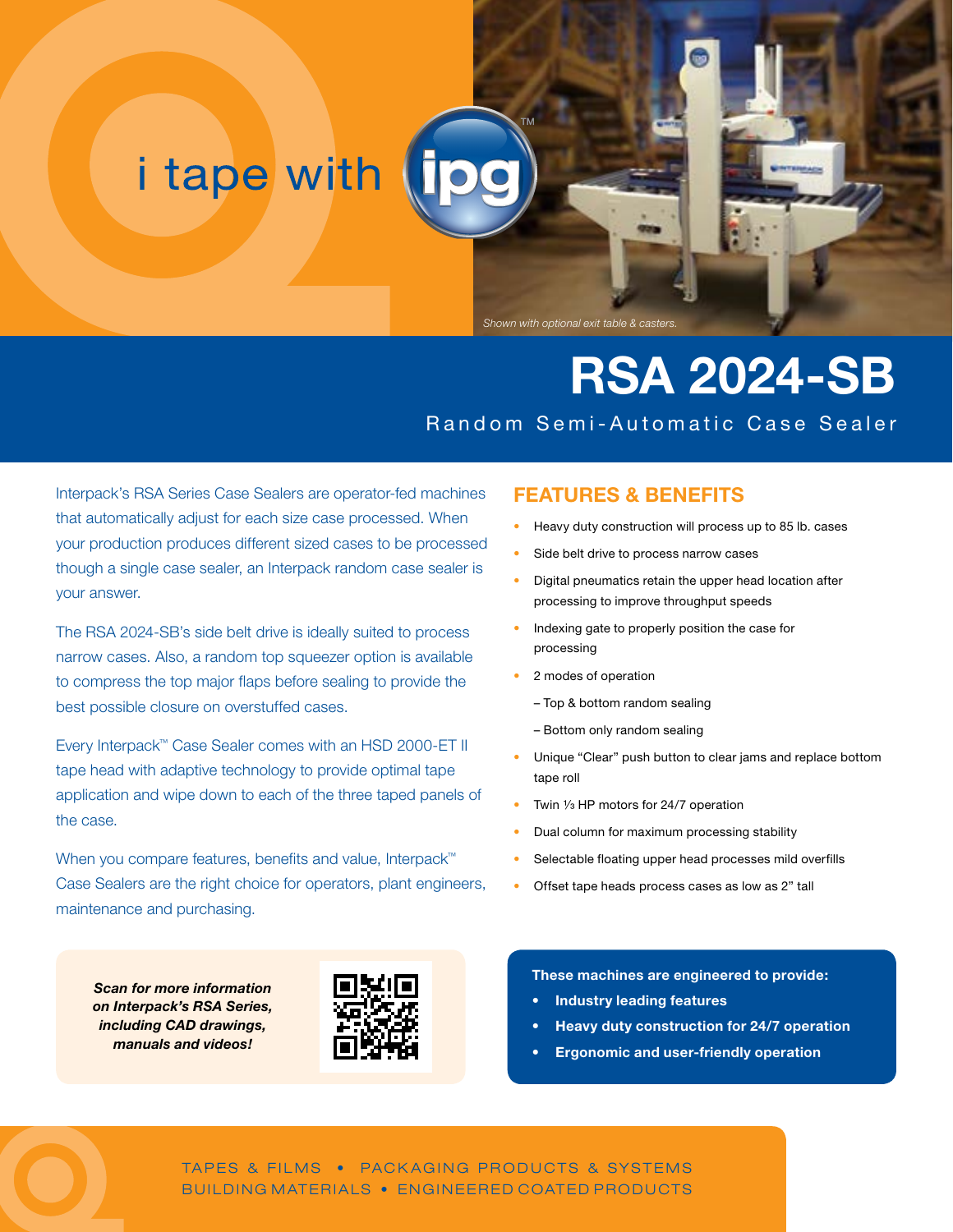# i tape with

Shown with optional exit table & caste

# **RSA 2024-SB** Random Semi-Automatic Case Sealer

Interpack's RSA Series Case Sealers are operator-fed machines that automatically adjust for each size case processed. When your production produces different sized cases to be processed though a single case sealer, an Interpack random case sealer is your answer.

The RSA 2024-SB's side belt drive is ideally suited to process narrow cases. Also, a random top squeezer option is available to compress the top major flaps before sealing to provide the best possible closure on overstuffed cases.

Every Interpack™ Case Sealer comes with an HSD 2000-ET II tape head with adaptive technology to provide optimal tape application and wipe down to each of the three taped panels of the case.

When you compare features, benefits and value, Interpack<sup>™</sup> Case Sealers are the right choice for operators, plant engineers, maintenance and purchasing.

*Scan for more information on Interpack's RSA Series, including CAD drawings, manuals and videos!*



### **FEATURES & BENEFITS**

- Heavy duty construction will process up to 85 lb. cases
- Side belt drive to process narrow cases
- Digital pneumatics retain the upper head location after processing to improve throughput speeds
- Indexing gate to properly position the case for processing
- 2 modes of operation
	- Top & bottom random sealing
	- Bottom only random sealing
- Unique "Clear" push button to clear jams and replace bottom tape roll
- Twin  $\frac{1}{3}$  HP motors for 24/7 operation
- Dual column for maximum processing stability
- Selectable floating upper head processes mild overfills
- Offset tape heads process cases as low as 2" tall

#### **These machines are engineered to provide:**

- **• Industry leading features**
- **• Heavy duty construction for 24/7 operation**
- **• Ergonomic and user-friendly operation**

TAPES & FILMS • PACKAGING PRODUCTS & SYSTEMS BUILDING MATERIALS • ENGINEERED COATED PRODUCTS